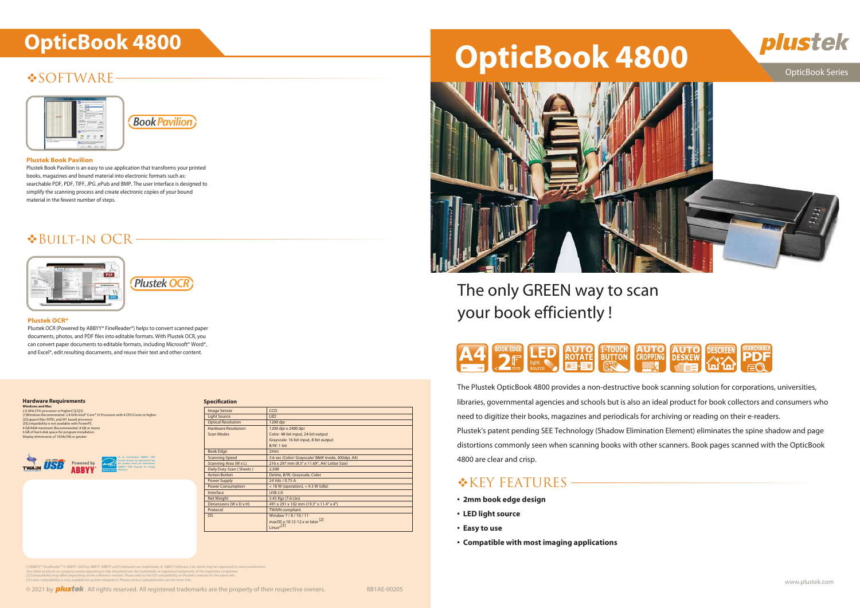# $\triangle$ SOFTWARE-



**Book Pavilion** 

# **OpticBook 4800 OpticBook 4800**



# OpticBook Series

- 
- 
- 
- 

The Plustek OpticBook 4800 provides a non-destructive book scanning solution for corporations, universities, libraries, governmental agencies and schools but is also an ideal product for book collectors and consumers who need to digitize their books, magazines and periodicals for archiving or reading on their e-readers. Plustek's patent pending SEE Technology (Shadow Elimination Element) eliminates the spine shadow and page distortions commonly seen when scanning books with other scanners. Book pages scanned with the OpticBook 4800 are clear and crisp.

## \*KEY FEATURES

- **2mm book edge design**
- **LED light source**
- **Easy to use**
- **Compatible with most imaging applications**

[1]ABBYY"" FineReader"" © ABBYY. OCR by ABBYY. ABBYY and FineReader are trademarks of ABBYY Software, Ltd. which may be registered in some jurisdictions.<br>[2] Compatibility may differ depending on the software's version. Pl





## **Plustek OCR\***

Plustek OCR (Powered by ABBYY® FineReader®) helps to convert scanned paper documents, photos, and PDF files into editable formats. With Plustek OCR, you can convert paper documents to editable formats, including Microsoft® Word®, and Excel®, edit resulting documents, and reuse their text and other content.

# Built-in OCR





## **Plustek Book Pavilion**

Plustek Book Pavilion is an easy to use application that transforms your printed books, magazines and bound material into electronic formats such as: searchable PDF, PDF, TIFF, JPG ,ePub and BMP. The user interface is designed to simplify the scanning process and create electronic copies of your bound material in the fewest number of steps.

| <b>Image Sensor</b>        | <b>CCD</b>                                       |
|----------------------------|--------------------------------------------------|
| <b>Light Source</b>        | <b>LED</b>                                       |
| <b>Optical Resolution</b>  | 1200 dpi                                         |
| <b>Hardware Resolution</b> | 1200 dpi x 2400 dpi                              |
| <b>Scan Modes</b>          | Color: 48-bit input, 24-bit output               |
|                            | Grayscale: 16-bit input, 8-bit output            |
|                            | <b>B/W: 1-bit</b>                                |
| <b>Book Edge</b>           | 2mm                                              |
| <b>Scanning Speed</b>      | 3.6 sec (Color/ Grayscale/ B&W mode, 300dpi, A4) |
| Scanning Area (W x L)      | 216 x 297 mm (8.5" x 11.69", A4/ Letter Size)    |
| Daily Duty Scan (Sheets)   | 2,500                                            |
| <b>Action Button</b>       | Delete, B/W, Grayscale, Color                    |
| <b>Power Supply</b>        | 24 Vdc / 0.75 A                                  |
| <b>Power Consumption</b>   | $<$ 18 W (operation), $<$ 4.3 W (idle)           |
| Interface                  | <b>USB 2.0</b>                                   |
| <b>Net Weight</b>          | 3.45 Kgs (7.6 Lbs)                               |
| Dimensions (W x D x H)     | 491 x 291 x 102 mm (19.3" x 11.4" x 4")          |
| Protocol                   | <b>TWAIN</b> compliant                           |
| <b>OS</b>                  | Window 7/8/10/11                                 |
|                            | macOS v.10.12-12.x or later [2]                  |
|                            | Linux $*$ <sup>[3]</sup>                         |
|                            |                                                  |

The only GREEN way to scan your book efficiently !





#### **Specification**

#### **Hardware Requirements**

**Windows and Mac** 2.0 GHz CPU processor or higher[1][2][3] [1]Windows Recommended: 2.8 GHz Intel® Core™ i5 Processor with 4 CPU Cores or higher<br>[2]Support Mac INTEL and M1 based processor<br>[3]Compatibility is not available with PowerPC<br>4 GB RAM minimum (Recommended: 8 GB or more) 6 GB of hard-disk space for program installation Display dimensions of 1024x768 or greater